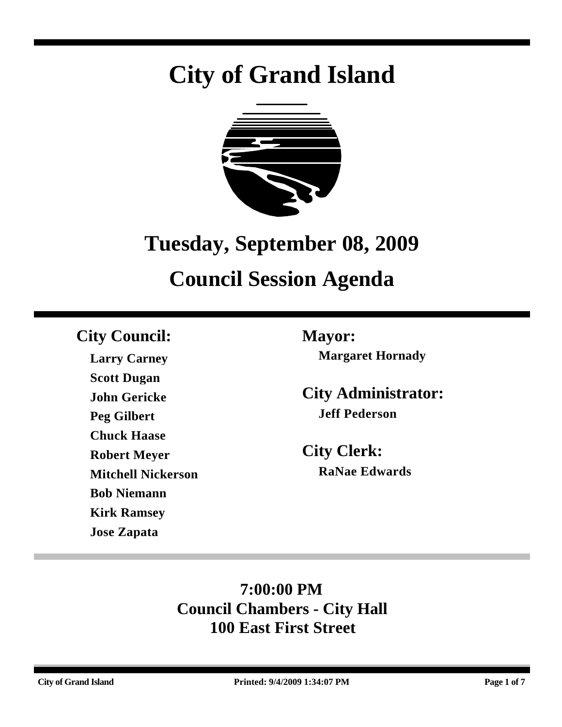# **City of Grand Island**



# **Tuesday, September 08, 2009**

## **Council Session Agenda**

### **City Council: Mayor:**

**Larry Carney Scott Dugan John Gericke Peg Gilbert Chuck Haase Robert Meyer Mitchell Nickerson Bob Niemann Kirk Ramsey Jose Zapata**

**Margaret Hornady**

**City Administrator: Jeff Pederson**

**City Clerk: RaNae Edwards**

### **7:00:00 PM Council Chambers - City Hall 100 East First Street**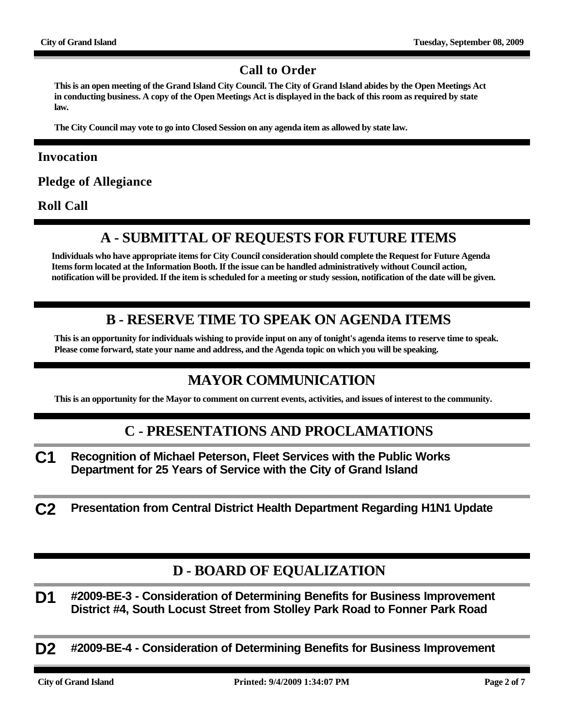#### **Call to Order**

**This is an open meeting of the Grand Island City Council. The City of Grand Island abides by the Open Meetings Act in conducting business. A copy of the Open Meetings Act is displayed in the back of this room as required by state law.**

**The City Council may vote to go into Closed Session on any agenda item as allowed by state law.**

#### **Invocation**

**Pledge of Allegiance**

**Roll Call**

#### **A - SUBMITTAL OF REQUESTS FOR FUTURE ITEMS**

**Individuals who have appropriate items for City Council consideration should complete the Request for Future Agenda Items form located at the Information Booth. If the issue can be handled administratively without Council action, notification will be provided. If the item is scheduled for a meeting or study session, notification of the date will be given.**

#### **B - RESERVE TIME TO SPEAK ON AGENDA ITEMS**

**This is an opportunity for individuals wishing to provide input on any of tonight's agenda items to reserve time to speak. Please come forward, state your name and address, and the Agenda topic on which you will be speaking.**

#### **MAYOR COMMUNICATION**

**This is an opportunity for the Mayor to comment on current events, activities, and issues of interest to the community.**

#### **C - PRESENTATIONS AND PROCLAMATIONS**

- **C1 Recognition of Michael Peterson, Fleet Services with the Public Works Department for 25 Years of Service with the City of Grand Island**
- **C2 Presentation from Central District Health Department Regarding H1N1 Update**

#### **D - BOARD OF EQUALIZATION**

**D1 #2009-BE-3 - Consideration of Determining Benefits for Business Improvement District #4, South Locust Street from Stolley Park Road to Fonner Park Road**

**D2 #2009-BE-4 - Consideration of Determining Benefits for Business Improvement**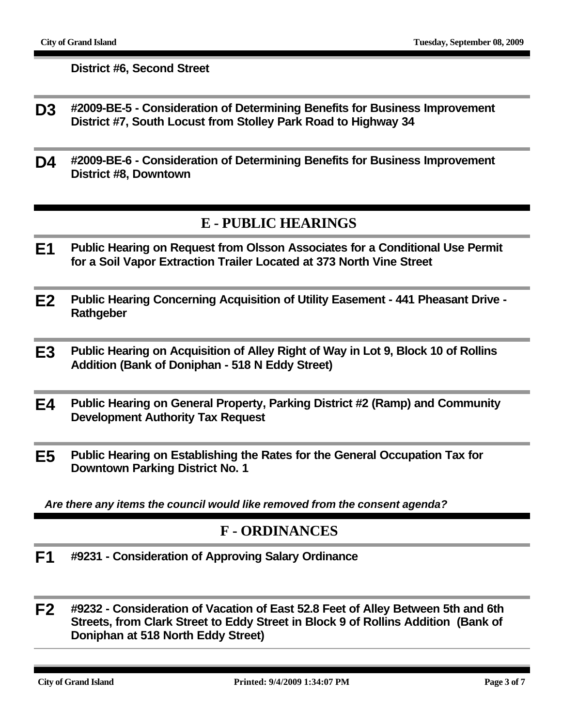**District #6, Second Street**

- **D3 #2009-BE-5 Consideration of Determining Benefits for Business Improvement District #7, South Locust from Stolley Park Road to Highway 34**
- **D4 #2009-BE-6 Consideration of Determining Benefits for Business Improvement District #8, Downtown**

#### **E - PUBLIC HEARINGS**

- **E1 Public Hearing on Request from Olsson Associates for a Conditional Use Permit for a Soil Vapor Extraction Trailer Located at 373 North Vine Street**
- **E2 Public Hearing Concerning Acquisition of Utility Easement 441 Pheasant Drive Rathgeber**
- **E3 Public Hearing on Acquisition of Alley Right of Way in Lot 9, Block 10 of Rollins Addition (Bank of Doniphan - 518 N Eddy Street)**
- **E4 Public Hearing on General Property, Parking District #2 (Ramp) and Community Development Authority Tax Request**
- **E5 Public Hearing on Establishing the Rates for the General Occupation Tax for Downtown Parking District No. 1**

*Are there any items the council would like removed from the consent agenda?*

#### **F - ORDINANCES**

- **F1 #9231 Consideration of Approving Salary Ordinance**
- **F2 #9232 Consideration of Vacation of East 52.8 Feet of Alley Between 5th and 6th Streets, from Clark Street to Eddy Street in Block 9 of Rollins Addition (Bank of Doniphan at 518 North Eddy Street)**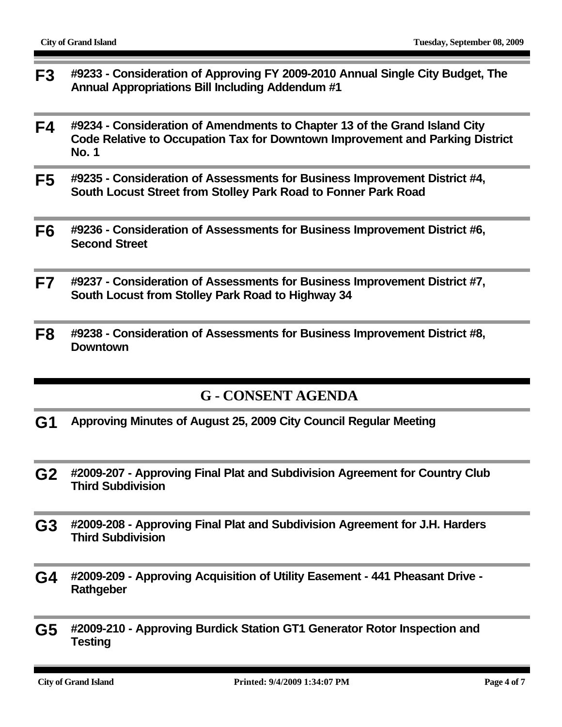- **F3 #9233 Consideration of Approving FY 2009-2010 Annual Single City Budget, The Annual Appropriations Bill Including Addendum #1**
- **F4 #9234 Consideration of Amendments to Chapter 13 of the Grand Island City Code Relative to Occupation Tax for Downtown Improvement and Parking District No. 1**
- **F5 #9235 Consideration of Assessments for Business Improvement District #4, South Locust Street from Stolley Park Road to Fonner Park Road**
- **F6 #9236 Consideration of Assessments for Business Improvement District #6, Second Street**
- **F7 #9237 Consideration of Assessments for Business Improvement District #7, South Locust from Stolley Park Road to Highway 34**
- **F8 #9238 Consideration of Assessments for Business Improvement District #8, Downtown**

#### **G - CONSENT AGENDA**

- **G1 Approving Minutes of August 25, 2009 City Council Regular Meeting**
- **G2 #2009-207 Approving Final Plat and Subdivision Agreement for Country Club Third Subdivision**
- **G3 #2009-208 Approving Final Plat and Subdivision Agreement for J.H. Harders Third Subdivision**
- **G4 #2009-209 Approving Acquisition of Utility Easement 441 Pheasant Drive Rathgeber**
- **G5 #2009-210 Approving Burdick Station GT1 Generator Rotor Inspection and Testing**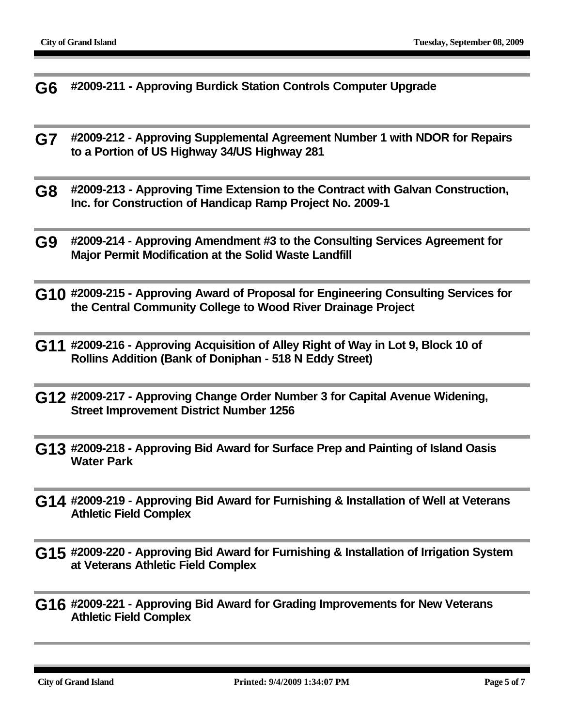**G6 #2009-211 - Approving Burdick Station Controls Computer Upgrade**

- **G7 #2009-212 Approving Supplemental Agreement Number 1 with NDOR for Repairs to a Portion of US Highway 34/US Highway 281**
- **G8 #2009-213 Approving Time Extension to the Contract with Galvan Construction, Inc. for Construction of Handicap Ramp Project No. 2009-1**
- **G9 #2009-214 Approving Amendment #3 to the Consulting Services Agreement for Major Permit Modification at the Solid Waste Landfill**
- **G10 #2009-215 Approving Award of Proposal for Engineering Consulting Services for the Central Community College to Wood River Drainage Project**
- **G11 #2009-216 Approving Acquisition of Alley Right of Way in Lot 9, Block 10 of Rollins Addition (Bank of Doniphan - 518 N Eddy Street)**
- **G12 #2009-217 Approving Change Order Number 3 for Capital Avenue Widening, Street Improvement District Number 1256**
- **G13 #2009-218 Approving Bid Award for Surface Prep and Painting of Island Oasis Water Park**
- **G14 #2009-219 Approving Bid Award for Furnishing & Installation of Well at Veterans Athletic Field Complex**
- **G15 #2009-220 Approving Bid Award for Furnishing & Installation of Irrigation System at Veterans Athletic Field Complex**
- **G16 #2009-221 Approving Bid Award for Grading Improvements for New Veterans Athletic Field Complex**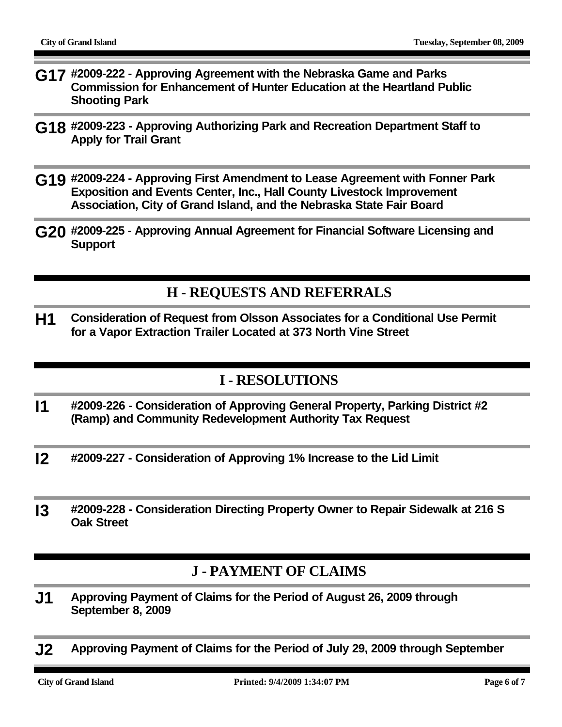- **G17 #2009-222 Approving Agreement with the Nebraska Game and Parks Commission for Enhancement of Hunter Education at the Heartland Public Shooting Park**
- **G18 #2009-223 Approving Authorizing Park and Recreation Department Staff to Apply for Trail Grant**
- **G19 #2009-224 Approving First Amendment to Lease Agreement with Fonner Park Exposition and Events Center, Inc., Hall County Livestock Improvement Association, City of Grand Island, and the Nebraska State Fair Board**
- **G20 #2009-225 Approving Annual Agreement for Financial Software Licensing and Support**

#### **H - REQUESTS AND REFERRALS**

**H1 Consideration of Request from Olsson Associates for a Conditional Use Permit for a Vapor Extraction Trailer Located at 373 North Vine Street**

#### **I - RESOLUTIONS**

- **I1 #2009-226 Consideration of Approving General Property, Parking District #2 (Ramp) and Community Redevelopment Authority Tax Request**
- **I2 #2009-227 Consideration of Approving 1% Increase to the Lid Limit**
- **I3 #2009-228 Consideration Directing Property Owner to Repair Sidewalk at 216 S Oak Street**

#### **J - PAYMENT OF CLAIMS**

- **J1 Approving Payment of Claims for the Period of August 26, 2009 through September 8, 2009**
- **J2 Approving Payment of Claims for the Period of July 29, 2009 through September**